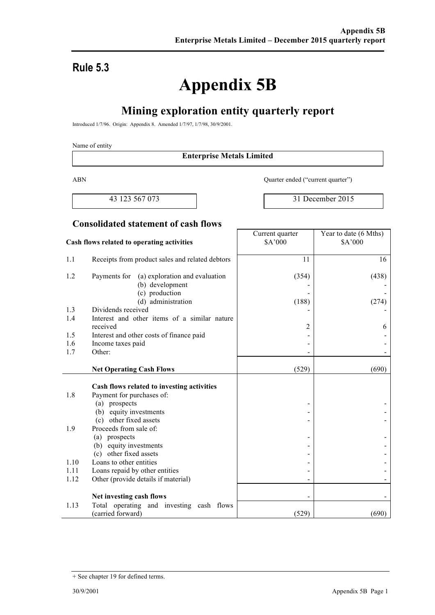# **Rule 5.3**

# **Appendix 5B**

# **Mining exploration entity quarterly report**

Introduced 1/7/96. Origin: Appendix 8. Amended 1/7/97, 1/7/98, 30/9/2001.

#### Name of entity

#### **Enterprise Metals Limited**

ABN Quarter ended ("current quarter")

43 123 567 073 31 December 2015

#### **Consolidated statement of cash flows**

#### **Cash flows related to operating activities** Current quarter \$A'000 Year to date (6 Mths) \$A'000 1.1 Receipts from product sales and related debtors 11 16 1.2 Payments for (a) exploration and evaluation (b) development (c) production (d) administration (354) - - (188) (438) - - (274) 1.3 Dividends received 1.4 Interest and other items of a similar nature received  $\begin{array}{ccc} & 2 & 6 \end{array}$ 1.5 Interest and other costs of finance paid  $\overline{\phantom{a}}$  -1.6 Income taxes paid contract the set of the set of the set of the set of the set of the set of the set of the set of the set of the set of the set of the set of the set of the set of the set of the set of the set of the  $1.7$  Other:  $\qquad \qquad$ **Net Operating Cash Flows** (529) (690) **Cash flows related to investing activities** 1.8 Payment for purchases of: (a) prospects (b) equity investments (c) other fixed assets - - - - - - 1.9 Proceeds from sale of: (a) prospects (b) equity investments (c) other fixed assets - - - - - -  $1.10$  Loans to other entities  $-$ 1.11 Loans repaid by other entities - -1.12 Other (provide details if material) Net investing cash flows 1.13 Total operating and investing cash flows (carried forward)  $(529)$  (690)

<sup>+</sup> See chapter 19 for defined terms.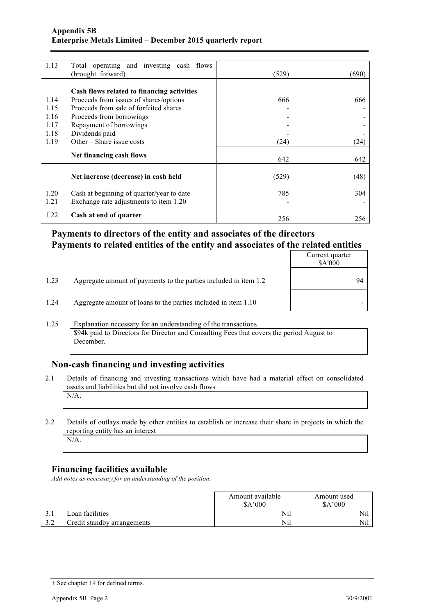| 1.13 | Total operating and investing cash flows   |       |       |
|------|--------------------------------------------|-------|-------|
|      | (brought forward)                          | (529) | (690) |
|      |                                            |       |       |
|      | Cash flows related to financing activities |       |       |
| 1.14 | Proceeds from issues of shares/options     | 666   | 666   |
| 1.15 | Proceeds from sale of forfeited shares     |       |       |
| 1.16 | Proceeds from borrowings                   |       |       |
| 1.17 | Repayment of borrowings                    |       |       |
| 1.18 | Dividends paid                             |       |       |
| 1.19 | Other – Share issue costs                  | (24)  | (24)  |
|      |                                            |       |       |
|      | Net financing cash flows                   | 642   | 642   |
|      |                                            |       |       |
|      | Net increase (decrease) in cash held       | (529) | (48)  |
|      |                                            |       |       |
| 1.20 | Cash at beginning of quarter/year to date  | 785   | 304   |
| 1.21 | Exchange rate adjustments to item 1.20     |       |       |
|      |                                            |       |       |
| 1.22 | Cash at end of quarter                     | 256   | 256   |

#### **Payments to directors of the entity and associates of the directors Payments to related entities of the entity and associates of the related entities**

|      |                                                                  | Current quarter<br>\$A'000 |
|------|------------------------------------------------------------------|----------------------------|
| 1.23 | Aggregate amount of payments to the parties included in item 1.2 | 94                         |
| 1.24 | Aggregate amount of loans to the parties included in item 1.10   |                            |

#### 1.25 Explanation necessary for an understanding of the transactions \$94k paid to Directors for Director and Consulting Fees that covers the period August to December.

#### **Non-cash financing and investing activities**

- 2.1 Details of financing and investing transactions which have had a material effect on consolidated assets and liabilities but did not involve cash flows
	- N/A.
- 2.2 Details of outlays made by other entities to establish or increase their share in projects in which the reporting entity has an interest N/A.

#### **Financing facilities available**

*Add notes as necessary for an understanding of the position.*

|                             | Amount available<br>\$A'000 | Amount used<br>\$A'000 |  |
|-----------------------------|-----------------------------|------------------------|--|
| Loan facilities             | Nil                         | Nil                    |  |
| Credit standby arrangements | Nil                         | Nil                    |  |

<sup>+</sup> See chapter 19 for defined terms.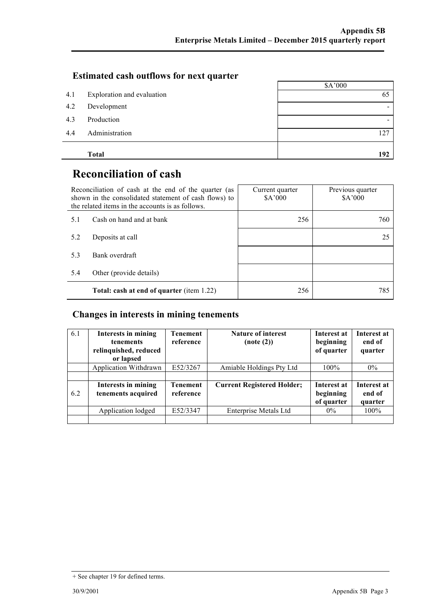#### **Estimated cash outflows for next quarter**

|     |                            | \$A'000 |
|-----|----------------------------|---------|
| 4.1 | Exploration and evaluation | 65      |
| 4.2 | Development                |         |
| 4.3 | Production                 |         |
| 4.4 | Administration             | 127     |
|     | <b>Total</b>               | 192     |

# **Reconciliation of cash**

| Reconciliation of cash at the end of the quarter (as<br>shown in the consolidated statement of cash flows) to<br>the related items in the accounts is as follows. |                                                  | Current quarter<br>\$A'000 | Previous quarter<br>\$A'000 |
|-------------------------------------------------------------------------------------------------------------------------------------------------------------------|--------------------------------------------------|----------------------------|-----------------------------|
| 5.1                                                                                                                                                               | Cash on hand and at bank                         | 256                        | 760                         |
| 5.2                                                                                                                                                               | Deposits at call                                 |                            | 25                          |
| 5.3                                                                                                                                                               | Bank overdraft                                   |                            |                             |
| 5.4                                                                                                                                                               | Other (provide details)                          |                            |                             |
|                                                                                                                                                                   | <b>Total: cash at end of quarter</b> (item 1.22) | 256                        | 785                         |

#### **Changes in interests in mining tenements**

| 6.1 | Interests in mining<br><b>tenements</b><br>relinquished, reduced<br>or lapsed | <b>Tenement</b><br>reference | Nature of interest<br>(note(2))   | Interest at<br>beginning<br>of quarter | Interest at<br>end of<br>quarter |
|-----|-------------------------------------------------------------------------------|------------------------------|-----------------------------------|----------------------------------------|----------------------------------|
|     | Application Withdrawn                                                         | E52/3267                     | Amiable Holdings Pty Ltd          | 100%                                   | $0\%$                            |
|     |                                                                               |                              |                                   |                                        |                                  |
| 6.2 | Interests in mining<br>tenements acquired                                     | <b>Tenement</b><br>reference | <b>Current Registered Holder;</b> | Interest at<br>beginning<br>of quarter | Interest at<br>end of<br>quarter |
|     | Application lodged                                                            | E52/3347                     | <b>Enterprise Metals Ltd</b>      | $0\%$                                  | 100%                             |
|     |                                                                               |                              |                                   |                                        |                                  |

<sup>+</sup> See chapter 19 for defined terms.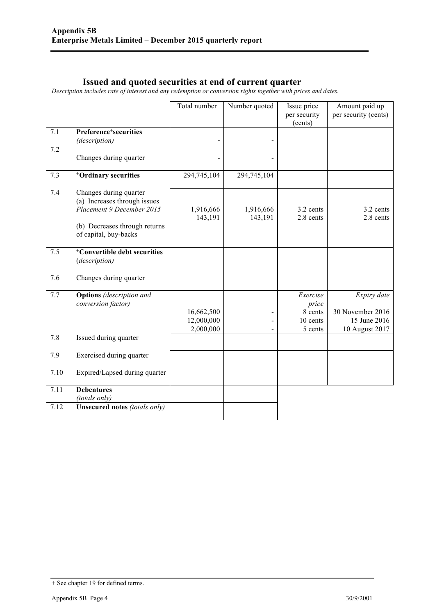#### **Issued and quoted securities at end of current quarter**

*Description includes rate of interest and any redemption or conversion rights together with prices and dates.*

|      |                                                                                                                                               | Total number                          | Number quoted            | Issue price<br>per security<br>(cents)              | Amount paid up<br>per security (cents)                            |
|------|-----------------------------------------------------------------------------------------------------------------------------------------------|---------------------------------------|--------------------------|-----------------------------------------------------|-------------------------------------------------------------------|
| 7.1  | Preference <sup>+</sup> securities<br>(description)                                                                                           |                                       | $\overline{\phantom{a}}$ |                                                     |                                                                   |
| 7.2  | Changes during quarter                                                                                                                        |                                       |                          |                                                     |                                                                   |
| 7.3  | <sup>+</sup> Ordinary securities                                                                                                              | 294,745,104                           | 294,745,104              |                                                     |                                                                   |
| 7.4  | Changes during quarter<br>(a) Increases through issues<br>Placement 9 December 2015<br>(b) Decreases through returns<br>of capital, buy-backs | 1,916,666<br>143,191                  | 1,916,666<br>143,191     | 3.2 cents<br>2.8 cents                              | 3.2 cents<br>2.8 cents                                            |
| 7.5  | <sup>+</sup> Convertible debt securities<br>(description)                                                                                     |                                       |                          |                                                     |                                                                   |
| 7.6  | Changes during quarter                                                                                                                        |                                       |                          |                                                     |                                                                   |
| 7.7  | <b>Options</b> (description and<br>conversion factor)                                                                                         | 16,662,500<br>12,000,000<br>2,000,000 | $\blacksquare$           | Exercise<br>price<br>8 cents<br>10 cents<br>5 cents | Expiry date<br>30 November 2016<br>15 June 2016<br>10 August 2017 |
| 7.8  | Issued during quarter                                                                                                                         |                                       |                          |                                                     |                                                                   |
| 7.9  | Exercised during quarter                                                                                                                      |                                       |                          |                                                     |                                                                   |
| 7.10 | Expired/Lapsed during quarter                                                                                                                 |                                       |                          |                                                     |                                                                   |
| 7.11 | <b>Debentures</b><br>(totals only)                                                                                                            |                                       |                          |                                                     |                                                                   |
| 7.12 | Unsecured notes (totals only)                                                                                                                 |                                       |                          |                                                     |                                                                   |

<sup>+</sup> See chapter 19 for defined terms.